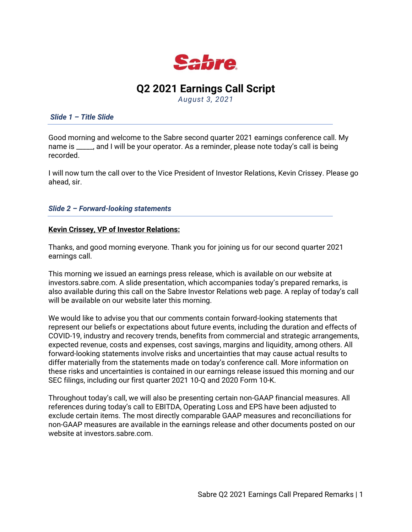

# **Q2 2021 Earnings Call Script**

*August 3, 2021*

*Slide 1 – Title Slide* 

Good morning and welcome to the Sabre second quarter 2021 earnings conference call. My name is \_\_\_\_\_, and I will be your operator. As a reminder, please note today's call is being recorded.

I will now turn the call over to the Vice President of Investor Relations, Kevin Crissey. Please go ahead, sir.

*Slide 2 – Forward-looking statements*

## **Kevin Crissey, VP of Investor Relations:**

Thanks, and good morning everyone. Thank you for joining us for our second quarter 2021 earnings call.

This morning we issued an earnings press release, which is available on our website at investors.sabre.com. A slide presentation, which accompanies today's prepared remarks, is also available during this call on the Sabre Investor Relations web page. A replay of today's call will be available on our website later this morning.

We would like to advise you that our comments contain forward-looking statements that represent our beliefs or expectations about future events, including the duration and effects of COVID-19, industry and recovery trends, benefits from commercial and strategic arrangements, expected revenue, costs and expenses, cost savings, margins and liquidity, among others. All forward-looking statements involve risks and uncertainties that may cause actual results to differ materially from the statements made on today's conference call. More information on these risks and uncertainties is contained in our earnings release issued this morning and our SEC filings, including our first quarter 2021 10-Q and 2020 Form 10-K.

Throughout today's call, we will also be presenting certain non-GAAP financial measures. All references during today's call to EBITDA, Operating Loss and EPS have been adjusted to exclude certain items. The most directly comparable GAAP measures and reconciliations for non-GAAP measures are available in the earnings release and other documents posted on our website at investors.sabre.com.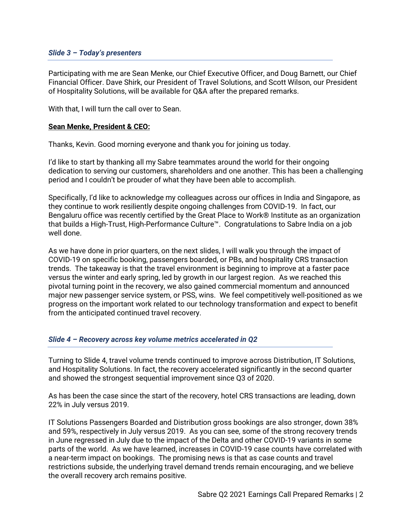## *Slide 3 – Today's presenters*

Participating with me are Sean Menke, our Chief Executive Officer, and Doug Barnett, our Chief Financial Officer. Dave Shirk, our President of Travel Solutions, and Scott Wilson, our President of Hospitality Solutions, will be available for Q&A after the prepared remarks.

With that, I will turn the call over to Sean.

## **Sean Menke, President & CEO:**

Thanks, Kevin. Good morning everyone and thank you for joining us today.

I'd like to start by thanking all my Sabre teammates around the world for their ongoing dedication to serving our customers, shareholders and one another. This has been a challenging period and I couldn't be prouder of what they have been able to accomplish.

Specifically, I'd like to acknowledge my colleagues across our offices in India and Singapore, as they continue to work resiliently despite ongoing challenges from COVID-19. In fact, our Bengaluru office was recently certified by the Great Place to Work® Institute as an organization that builds a High-Trust, High-Performance Culture™. Congratulations to Sabre India on a job well done.

As we have done in prior quarters, on the next slides, I will walk you through the impact of COVID-19 on specific booking, passengers boarded, or PBs, and hospitality CRS transaction trends. The takeaway is that the travel environment is beginning to improve at a faster pace versus the winter and early spring, led by growth in our largest region. As we reached this pivotal turning point in the recovery, we also gained commercial momentum and announced major new passenger service system, or PSS, wins. We feel competitively well-positioned as we progress on the important work related to our technology transformation and expect to benefit from the anticipated continued travel recovery.

# *Slide 4 – Recovery across key volume metrics accelerated in Q2*

Turning to Slide 4, travel volume trends continued to improve across Distribution, IT Solutions, and Hospitality Solutions. In fact, the recovery accelerated significantly in the second quarter and showed the strongest sequential improvement since Q3 of 2020.

As has been the case since the start of the recovery, hotel CRS transactions are leading, down 22% in July versus 2019.

IT Solutions Passengers Boarded and Distribution gross bookings are also stronger, down 38% and 59%, respectively in July versus 2019. As you can see, some of the strong recovery trends in June regressed in July due to the impact of the Delta and other COVID-19 variants in some parts of the world. As we have learned, increases in COVID-19 case counts have correlated with a near-term impact on bookings. The promising news is that as case counts and travel restrictions subside, the underlying travel demand trends remain encouraging, and we believe the overall recovery arch remains positive.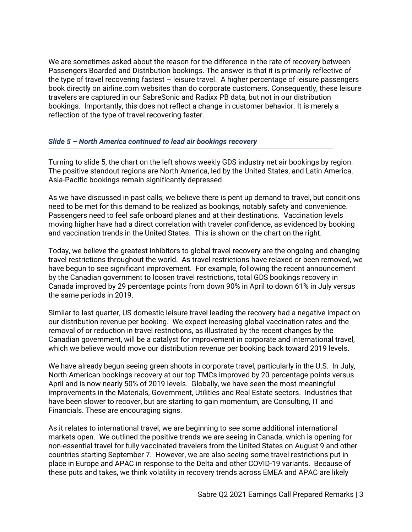We are sometimes asked about the reason for the difference in the rate of recovery between Passengers Boarded and Distribution bookings. The answer is that it is primarily reflective of the type of travel recovering fastest – leisure travel. A higher percentage of leisure passengers book directly on airline.com websites than do corporate customers. Consequently, these leisure travelers are captured in our SabreSonic and Radixx PB data, but not in our distribution bookings. Importantly, this does not reflect a change in customer behavior. It is merely a reflection of the type of travel recovering faster.

## *Slide 5 – North America continued to lead air bookings recovery*

Turning to slide 5, the chart on the left shows weekly GDS industry net air bookings by region. The positive standout regions are North America, led by the United States, and Latin America. Asia-Pacific bookings remain significantly depressed.

As we have discussed in past calls, we believe there is pent up demand to travel, but conditions need to be met for this demand to be realized as bookings, notably safety and convenience. Passengers need to feel safe onboard planes and at their destinations. Vaccination levels moving higher have had a direct correlation with traveler confidence, as evidenced by booking and vaccination trends in the United States. This is shown on the chart on the right.

Today, we believe the greatest inhibitors to global travel recovery are the ongoing and changing travel restrictions throughout the world. As travel restrictions have relaxed or been removed, we have begun to see significant improvement. For example, following the recent announcement by the Canadian government to loosen travel restrictions, total GDS bookings recovery in Canada improved by 29 percentage points from down 90% in April to down 61% in July versus the same periods in 2019.

Similar to last quarter, US domestic leisure travel leading the recovery had a negative impact on our distribution revenue per booking. We expect increasing global vaccination rates and the removal of or reduction in travel restrictions, as illustrated by the recent changes by the Canadian government, will be a catalyst for improvement in corporate and international travel, which we believe would move our distribution revenue per booking back toward 2019 levels.

We have already begun seeing green shoots in corporate travel, particularly in the U.S. In July, North American bookings recovery at our top TMCs improved by 20 percentage points versus April and is now nearly 50% of 2019 levels. Globally, we have seen the most meaningful improvements in the Materials, Government, Utilities and Real Estate sectors. Industries that have been slower to recover, but are starting to gain momentum, are Consulting, IT and Financials. These are encouraging signs.

As it relates to international travel, we are beginning to see some additional international markets open. We outlined the positive trends we are seeing in Canada, which is opening for non-essential travel for fully vaccinated travelers from the United States on August 9 and other countries starting September 7. However, we are also seeing some travel restrictions put in place in Europe and APAC in response to the Delta and other COVID-19 variants. Because of these puts and takes, we think volatility in recovery trends across EMEA and APAC are likely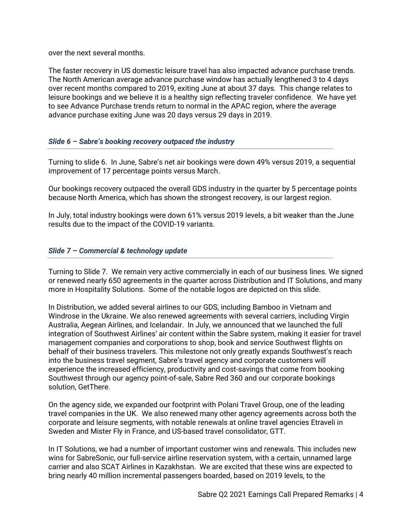over the next several months.

The faster recovery in US domestic leisure travel has also impacted advance purchase trends. The North American average advance purchase window has actually lengthened 3 to 4 days over recent months compared to 2019, exiting June at about 37 days. This change relates to leisure bookings and we believe it is a healthy sign reflecting traveler confidence. We have yet to see Advance Purchase trends return to normal in the APAC region, where the average advance purchase exiting June was 20 days versus 29 days in 2019.

# *Slide 6 – Sabre's booking recovery outpaced the industry*

Turning to slide 6. In June, Sabre's net air bookings were down 49% versus 2019, a sequential improvement of 17 percentage points versus March.

Our bookings recovery outpaced the overall GDS industry in the quarter by 5 percentage points because North America, which has shown the strongest recovery, is our largest region.

In July, total industry bookings were down 61% versus 2019 levels, a bit weaker than the June results due to the impact of the COVID-19 variants.

# *Slide 7 – Commercial & technology update*

Turning to Slide 7. We remain very active commercially in each of our business lines. We signed or renewed nearly 650 agreements in the quarter across Distribution and IT Solutions, and many more in Hospitality Solutions. Some of the notable logos are depicted on this slide.

In Distribution, we added several airlines to our GDS, including Bamboo in Vietnam and Windrose in the Ukraine. We also renewed agreements with several carriers, including Virgin Australia, Aegean Airlines, and Icelandair. In July, we announced that we launched the full integration of Southwest Airlines' air content within the Sabre system, making it easier for travel management companies and corporations to shop, book and service Southwest flights on behalf of their business travelers. This milestone not only greatly expands Southwest's reach into the business travel segment, Sabre's travel agency and corporate customers will experience the increased efficiency, productivity and cost-savings that come from booking Southwest through our agency point-of-sale, Sabre Red 360 and our corporate bookings solution, GetThere.

On the agency side, we expanded our footprint with Polani Travel Group, one of the leading travel companies in the UK. We also renewed many other agency agreements across both the corporate and leisure segments, with notable renewals at online travel agencies Etraveli in Sweden and Mister Fly in France, and US-based travel consolidator, GTT.

In IT Solutions, we had a number of important customer wins and renewals. This includes new wins for SabreSonic, our full-service airline reservation system, with a certain, unnamed large carrier and also SCAT Airlines in Kazakhstan. We are excited that these wins are expected to bring nearly 40 million incremental passengers boarded, based on 2019 levels, to the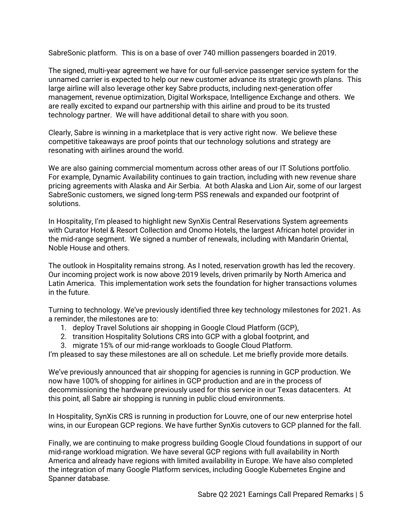SabreSonic platform. This is on a base of over 740 million passengers boarded in 2019.

The signed, multi-year agreement we have for our full-service passenger service system for the unnamed carrier is expected to help our new customer advance its strategic growth plans. This large airline will also leverage other key Sabre products, including next-generation offer management, revenue optimization, Digital Workspace, Intelligence Exchange and others. We are really excited to expand our partnership with this airline and proud to be its trusted technology partner. We will have additional detail to share with you soon.

Clearly, Sabre is winning in a marketplace that is very active right now. We believe these competitive takeaways are proof points that our technology solutions and strategy are resonating with airlines around the world.

We are also gaining commercial momentum across other areas of our IT Solutions portfolio. For example, Dynamic Availability continues to gain traction, including with new revenue share pricing agreements with Alaska and Air Serbia. At both Alaska and Lion Air, some of our largest SabreSonic customers, we signed long-term PSS renewals and expanded our footprint of solutions.

In Hospitality, I'm pleased to highlight new SynXis Central Reservations System agreements with Curator Hotel & Resort Collection and Onomo Hotels, the largest African hotel provider in the mid-range segment. We signed a number of renewals, including with Mandarin Oriental, Noble House and others.

The outlook in Hospitality remains strong. As I noted, reservation growth has led the recovery. Our incoming project work is now above 2019 levels, driven primarily by North America and Latin America. This implementation work sets the foundation for higher transactions volumes in the future.

Turning to technology. We've previously identified three key technology milestones for 2021. As a reminder, the milestones are to:

- 1. deploy Travel Solutions air shopping in Google Cloud Platform (GCP),
- 2. transition Hospitality Solutions CRS into GCP with a global footprint, and
- 3. migrate 15% of our mid-range workloads to Google Cloud Platform.

I'm pleased to say these milestones are all on schedule. Let me briefly provide more details.

We've previously announced that air shopping for agencies is running in GCP production. We now have 100% of shopping for airlines in GCP production and are in the process of decommissioning the hardware previously used for this service in our Texas datacenters. At this point, all Sabre air shopping is running in public cloud environments.

In Hospitality, SynXis CRS is running in production for Louvre, one of our new enterprise hotel wins, in our European GCP regions. We have further SynXis cutovers to GCP planned for the fall.

Finally, we are continuing to make progress building Google Cloud foundations in support of our mid-range workload migration. We have several GCP regions with full availability in North America and already have regions with limited availability in Europe. We have also completed the integration of many Google Platform services, including Google Kubernetes Engine and Spanner database.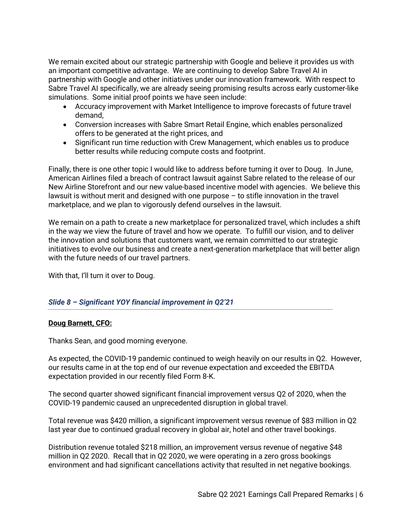We remain excited about our strategic partnership with Google and believe it provides us with an important competitive advantage. We are continuing to develop Sabre Travel AI in partnership with Google and other initiatives under our innovation framework. With respect to Sabre Travel AI specifically, we are already seeing promising results across early customer-like simulations. Some initial proof points we have seen include:

- Accuracy improvement with Market Intelligence to improve forecasts of future travel demand,
- Conversion increases with Sabre Smart Retail Engine, which enables personalized offers to be generated at the right prices, and
- Significant run time reduction with Crew Management, which enables us to produce better results while reducing compute costs and footprint.

Finally, there is one other topic I would like to address before turning it over to Doug. In June, American Airlines filed a breach of contract lawsuit against Sabre related to the release of our New Airline Storefront and our new value-based incentive model with agencies. We believe this lawsuit is without merit and designed with one purpose – to stifle innovation in the travel marketplace, and we plan to vigorously defend ourselves in the lawsuit.

We remain on a path to create a new marketplace for personalized travel, which includes a shift in the way we view the future of travel and how we operate. To fulfill our vision, and to deliver the innovation and solutions that customers want, we remain committed to our strategic initiatives to evolve our business and create a next-generation marketplace that will better align with the future needs of our travel partners.

With that, I'll turn it over to Doug.

# *Slide 8 – Significant YOY financial improvement in Q2'21*

# **Doug Barnett, CFO:**

Thanks Sean, and good morning everyone.

As expected, the COVID-19 pandemic continued to weigh heavily on our results in Q2. However, our results came in at the top end of our revenue expectation and exceeded the EBITDA expectation provided in our recently filed Form 8-K.

The second quarter showed significant financial improvement versus Q2 of 2020, when the COVID-19 pandemic caused an unprecedented disruption in global travel.

Total revenue was \$420 million, a significant improvement versus revenue of \$83 million in Q2 last year due to continued gradual recovery in global air, hotel and other travel bookings.

Distribution revenue totaled \$218 million, an improvement versus revenue of negative \$48 million in Q2 2020. Recall that in Q2 2020, we were operating in a zero gross bookings environment and had significant cancellations activity that resulted in net negative bookings.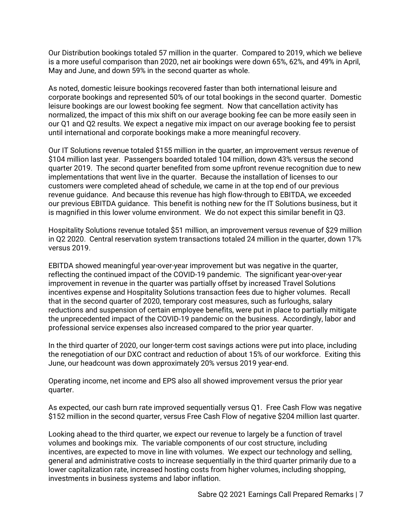Our Distribution bookings totaled 57 million in the quarter. Compared to 2019, which we believe is a more useful comparison than 2020, net air bookings were down 65%, 62%, and 49% in April, May and June, and down 59% in the second quarter as whole.

As noted, domestic leisure bookings recovered faster than both international leisure and corporate bookings and represented 50% of our total bookings in the second quarter. Domestic leisure bookings are our lowest booking fee segment. Now that cancellation activity has normalized, the impact of this mix shift on our average booking fee can be more easily seen in our Q1 and Q2 results. We expect a negative mix impact on our average booking fee to persist until international and corporate bookings make a more meaningful recovery.

Our IT Solutions revenue totaled \$155 million in the quarter, an improvement versus revenue of \$104 million last year. Passengers boarded totaled 104 million, down 43% versus the second quarter 2019. The second quarter benefited from some upfront revenue recognition due to new implementations that went live in the quarter. Because the installation of licenses to our customers were completed ahead of schedule, we came in at the top end of our previous revenue guidance. And because this revenue has high flow-through to EBITDA, we exceeded our previous EBITDA guidance. This benefit is nothing new for the IT Solutions business, but it is magnified in this lower volume environment. We do not expect this similar benefit in Q3.

Hospitality Solutions revenue totaled \$51 million, an improvement versus revenue of \$29 million in Q2 2020. Central reservation system transactions totaled 24 million in the quarter, down 17% versus 2019.

EBITDA showed meaningful year-over-year improvement but was negative in the quarter, reflecting the continued impact of the COVID-19 pandemic. The significant year-over-year improvement in revenue in the quarter was partially offset by increased Travel Solutions incentives expense and Hospitality Solutions transaction fees due to higher volumes. Recall that in the second quarter of 2020, temporary cost measures, such as furloughs, salary reductions and suspension of certain employee benefits, were put in place to partially mitigate the unprecedented impact of the COVID-19 pandemic on the business. Accordingly, labor and professional service expenses also increased compared to the prior year quarter.

In the third quarter of 2020, our longer-term cost savings actions were put into place, including the renegotiation of our DXC contract and reduction of about 15% of our workforce. Exiting this June, our headcount was down approximately 20% versus 2019 year-end.

Operating income, net income and EPS also all showed improvement versus the prior year quarter.

As expected, our cash burn rate improved sequentially versus Q1. Free Cash Flow was negative \$152 million in the second quarter, versus Free Cash Flow of negative \$204 million last quarter.

Looking ahead to the third quarter, we expect our revenue to largely be a function of travel volumes and bookings mix. The variable components of our cost structure, including incentives, are expected to move in line with volumes. We expect our technology and selling, general and administrative costs to increase sequentially in the third quarter primarily due to a lower capitalization rate, increased hosting costs from higher volumes, including shopping, investments in business systems and labor inflation.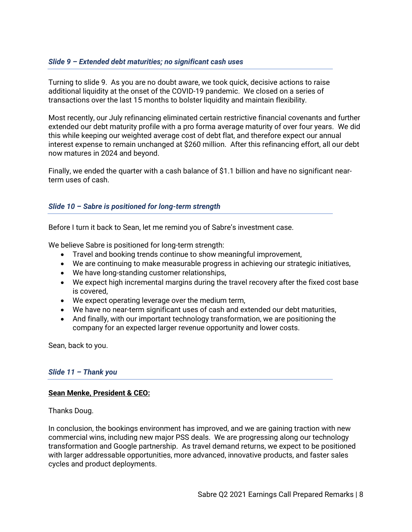# *Slide 9 – Extended debt maturities; no significant cash uses*

Turning to slide 9. As you are no doubt aware, we took quick, decisive actions to raise additional liquidity at the onset of the COVID-19 pandemic. We closed on a series of transactions over the last 15 months to bolster liquidity and maintain flexibility.

Most recently, our July refinancing eliminated certain restrictive financial covenants and further extended our debt maturity profile with a pro forma average maturity of over four years. We did this while keeping our weighted average cost of debt flat, and therefore expect our annual interest expense to remain unchanged at \$260 million. After this refinancing effort, all our debt now matures in 2024 and beyond.

Finally, we ended the quarter with a cash balance of \$1.1 billion and have no significant nearterm uses of cash.

# *Slide 10 – Sabre is positioned for long-term strength*

Before I turn it back to Sean, let me remind you of Sabre's investment case.

We believe Sabre is positioned for long-term strength:

- Travel and booking trends continue to show meaningful improvement,
- We are continuing to make measurable progress in achieving our strategic initiatives,
- We have long-standing customer relationships,
- We expect high incremental margins during the travel recovery after the fixed cost base is covered,
- We expect operating leverage over the medium term,
- We have no near-term significant uses of cash and extended our debt maturities,
- And finally, with our important technology transformation, we are positioning the company for an expected larger revenue opportunity and lower costs.

Sean, back to you.

## *Slide 11 – Thank you*

## **Sean Menke, President & CEO:**

Thanks Doug.

In conclusion, the bookings environment has improved, and we are gaining traction with new commercial wins, including new major PSS deals. We are progressing along our technology transformation and Google partnership. As travel demand returns, we expect to be positioned with larger addressable opportunities, more advanced, innovative products, and faster sales cycles and product deployments.